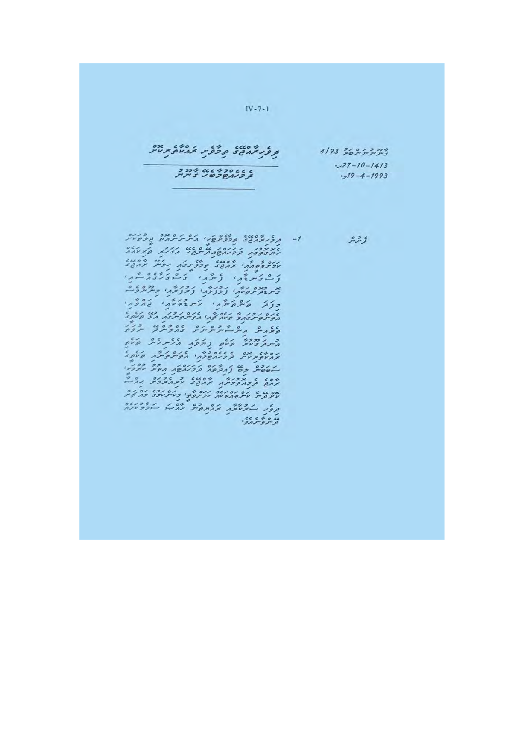oxysound +328 sent 195  $4/93$   $^{2/9}_{20}$  $-27 - 10 - 1413$  $.519 - 4 - 1993$ 

1- נפיאת הזים בללפשיו היליל המאל בלפיל ورثه ANXE 2734 400 04 12475 1383 AL אוציביות המושב פרפת בת נרשב המש وَسْوَمُعَ وَمُرَوْدٍ وَسَوْوَرُوْدِ شَوْدِ בת במפשהי לבלבתי לבלאתי כיתיבש כַנָת פּׁבּפּׁתוּ אֹתוֹפּעוֹ בְּגִּפּוֹ ביצפילבי באת בינת אתי הפילפילבא הל פייפל הצגיל גיל בלילים בגבים ביטו התבמני פילים נחפה הלית לב פילים בגיש אם בשוטכלי גביתפית פיטוב בשטבע כש נותפת תלומפת תפא עולכא 2 94 9175 7 500 1998 27 2 30 אים אי ב בי בי בי בי בי מצבעי כעית אבצי כל איב בולן לבלבה בלחשיב בתיה לכבר  $55.55.5$ 

 $IV - 7 - 1$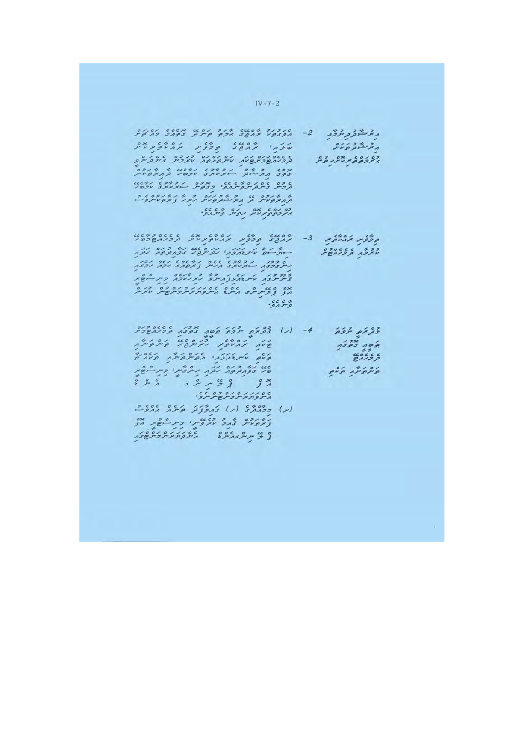- 28 AD SAPS ATE REAL SEAR VESSA -2 ADRAGALA و څر شو تو نو ناش שלתי ארשל פלפי ארופאדיל ב בנית פרים שית שית בנית ביות בית בל רפלפל איני הפ בתב גול ביל ביניבי נכסני לגולפי ג כם גם כן פי כבי כבתים וכלכג ולגוב CONVERT CLOSE ON THE CAR CONSTANT
- 200920000 0x 0000 x 000 0000 -3 x 0000 x 500 سأشخص سوء وكرور المرسوح و مورد ورو كور Gense grad 137 061 60641 066 63431 1330 צית יות אית את לגוד לא אילו בית לפיא את פשי תב גיע בים שפות את ביום כם הגם ۇ دېمۇ.
- في من المركزة المركزة الم שית ארויתא יאילפים בילבילת  $1555 105$ 2000 attacked with ore  $rac{c}{2}$  $3^{9} - 5^{16}$   $3^{16}$ גיבות אית כית שית יילי
- (م) دورود (ر) دروزم ومرد مدوت נצפעית בור נוצפיתי כית ביפא גם גל תת באת בין התפתאת באפשלת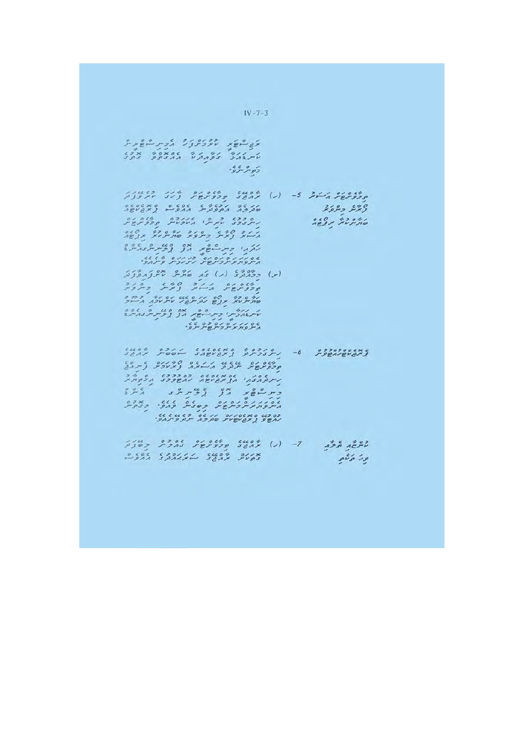| תפיפת ותראלל הרת בפת<br>$\qquad \qquad \Rightarrow$<br>$212 - 6$<br>دەپرىرى.                                                                                                                                                                                                                                                                                                                                 |                                |
|--------------------------------------------------------------------------------------------------------------------------------------------------------------------------------------------------------------------------------------------------------------------------------------------------------------------------------------------------------------------------------------------------------------|--------------------------------|
| 27422 248 كاملو 5- (ر) 2003 2592 273 244 245 247 274<br>OCOCKO OCOC CHEOL OGGO<br>242998 JUST 2 2 2232<br>ג' בין ביני בייני ביא מוייל אבשו<br>גבוי ריי כלא אף לליית באיל<br>הפנו לפליק בין בינו לילא<br>(س) دوارو در) ته عشر عقر زموز<br>7979 777 777 99999<br>שת מעול אגם נביים עם מפעל הרב<br>ואת התליתי קית לפית הצ ללית ית בהית<br>$\begin{array}{c} \bullet \\ \bullet \end{array}$<br>גבות את כאביב בפ | ومرتكز وتروتر<br>לאביע אל אלפה |
| cover and all a cover grace<br>240<br>CONSERVATION COCOCHOC<br>בית בפת הצף רבית תי הלב<br>$\begin{array}{c} \Delta \end{array}$<br>0.72<br>גם מוציע ביע בן בשלי ביני כבת<br>CCCUC3 0C 10 0110CX0 C333                                                                                                                                                                                                        | CHECOCOCH                      |
| $7 - 1 - 1$<br>OCOC COOLING CUOL OVER                                                                                                                                                                                                                                                                                                                                                                        | בתשת תלת<br>وزأة نامى          |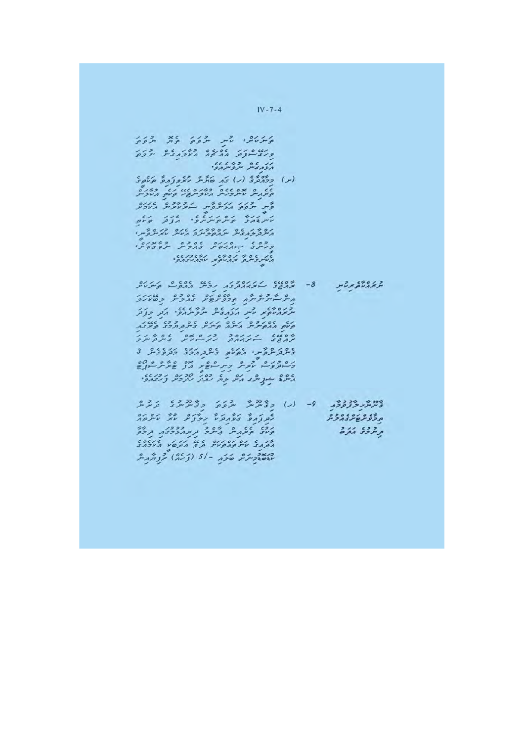وكموكوا الأسر المركوكة كالجمج المركوكة 1000 23 1500 18 20 510 419 הצהצת תפתחתי

- (م) حكم حدث (م) وكم عكر مر وروفر ومود 22 על אינ 220 כל כל כם כל כל העלים פית יינפים ג'ליפרית הידעיות הזיכת بأس يُمكِّرُ وَسَر وَسَرَ وَيَ وَاللَّهُ وَسَوْءِ גיינקלוצית יילופליינב גיית עציינפיתי בנית ב הנגבית בגדית תלבותים ג'וית בית על ממשת עבת עבור בש
- $\frac{2}{2}$   $\frac{3}{2}$   $\frac{3}{2}$   $\frac{3}{2}$   $\frac{3}{2}$   $\frac{3}{2}$   $\frac{3}{2}$   $\frac{3}{2}$   $\frac{3}{2}$   $\frac{3}{2}$   $\frac{3}{2}$   $\frac{3}{2}$   $\frac{3}{2}$   $\frac{3}{2}$ בצועת את גל ביציעת בכללשל בגלת בסיניב תמחיםת יית הלגבת תפיאה הם כלם פים התפתח היאה פיאיל ביתבחרב פיצבה שפטי באבאר ניסאט בעלילל בתבנית פיתו הפעם בית ברבה בבפבית 3 בלבנים עלת בת בשי את שלאת ברש הית ב שון ילב ג'ל בת מת ובנביע ניבוש
- ومرمر وووده ٩- (ر) ووجد مروى ووجد ورود לתנות ללומי יכלב ית ייתור בללבלבלברבית פיצ פינגיל הייצד ביאולרצה ברכל ב תרבי גבים הבנה לית פחיפית בשם הבשי היורהב המביעת שלת -/5 (נית) תנתתית

 $IV - 7 - 4$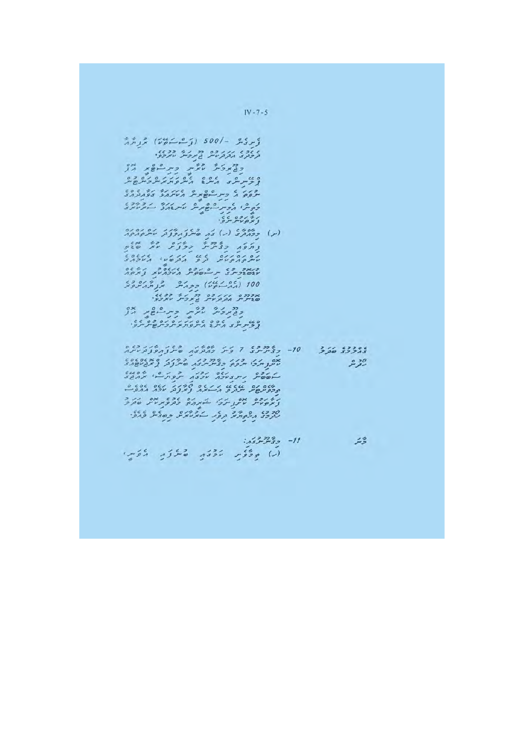| ۇىرى 2 – / 500 ( ئەسەسى) بىردىدە                          |
|-----------------------------------------------------------|
| ב כבר הבנגיע ביצרית עצפי                                  |
| רַבּאַלִלּ עַצְאָ רִיתְ בִּיתְ                            |
| פשינית גם הית בית הית התבית בית                           |
| ירוש א כינ בשיני גיונגל בפתבתב                            |
| כפילי תכת בשתית אית התל לבור                              |
| נו לפעיל תפי                                              |
| (م) ووافرى (ر) وأم ومؤثر المؤثر المس والمرور              |
| נתפת כלבל גלל על שלפ                                      |
| COCIC LEGIS LEG REGIS RUCKE                               |
| OCHI 20616 0210 - 57 2X12                                 |
| $\frac{1}{2}$ (2019) cent xind 100                        |
| אבכרכם גנגובם רב האבית מאבפי                              |
| כלאלי עלית כית בישא הצי                                   |
| פשי יכ גם בי היה התפתא יכל בפי בש                         |
|                                                           |
| 10 - כצייע בין ד פית המעצה שיתנה בנעיעת<br>3, 30, 53, 305 |
| שתניתל יתפת כליתיילת שיתונת ואתושת<br>ميو پر              |
| CCCOL CHOR NSIN NOVSJU 2000                               |
| 0 000 000 2190 0000 0000 00000                            |
| נצאפית שתניתכל בתחים כתפאשת שתק                           |
| שכבל תלהתא תקל לאצעות בסבית בול                           |
| $11 - 52 - 71$<br>وتر                                     |
| (ر) ودوّى عدّدة محكّدة الموسى                             |
|                                                           |

 $IV - 7 - 5$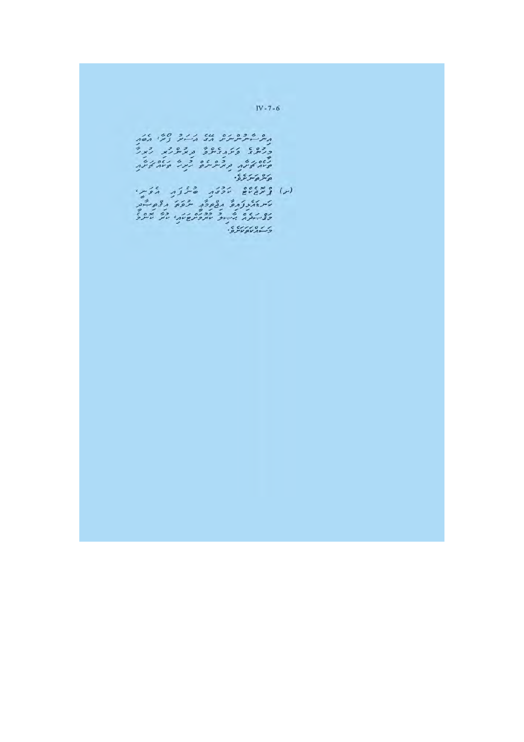$IV - 7 - 6$ 

رو شر مر مر د د د د د د د د د د ده. ەر ئىرى ئەرەبىرى مەر ئىر ئىرى<br>ئار ئار مەر ئىرى ئىرى ئار ئار و دو درو<br>(س) و ترج ده - ودود - هنگ ترم - دکوس؛<br>سروکرد ترمو - مردم - مرکز - مردم شور<br>دوسکره کبینی مردگروه هنها امتر کتاره  $35484012$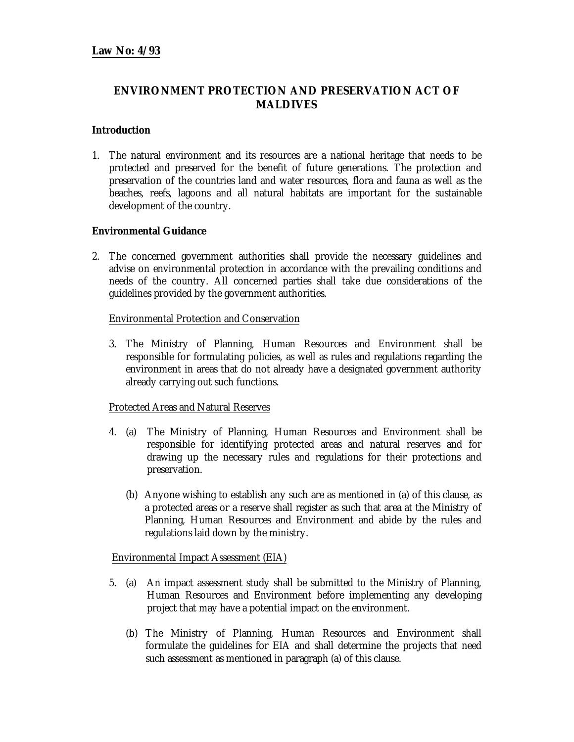# **ENVIRONMENT PROTECTION AND PRESERVATION ACT OF MALDIVES**

#### **Introduction**

1. The natural environment and its resources are a national heritage that needs to be protected and preserved for the benefit of future generations. The protection and preservation of the countries land and water resources, flora and fauna as well as the beaches, reefs, lagoons and all natural habitats are important for the sustainable development of the country.

# **Environmental Guidance**

2. The concerned government authorities shall provide the necessary guidelines and advise on environmental protection in accordance with the prevailing conditions and needs of the country. All concerned parties shall take due considerations of the guidelines provided by the government authorities.

### Environmental Protection and Conservation

3. The Ministry of Planning, Human Resources and Environment shall be responsible for formulating policies, as well as rules and regulations regarding the environment in areas that do not already have a designated government authority already carrying out such functions.

#### Protected Areas and Natural Reserves

- 4. (a) The Ministry of Planning, Human Resources and Environment shall be responsible for identifying protected areas and natural reserves and for drawing up the necessary rules and regulations for their protections and preservation.
	- (b) Anyone wishing to establish any such are as mentioned in (a) of this clause, as a protected areas or a reserve shall register as such that area at the Ministry of Planning, Human Resources and Environment and abide by the rules and regulations laid down by the ministry.

#### Environmental Impact Assessment (EIA)

- 5. (a) An impact assessment study shall be submitted to the Ministry of Planning, Human Resources and Environment before implementing any developing project that may have a potential impact on the environment.
	- (b) The Ministry of Planning, Human Resources and Environment shall formulate the guidelines for EIA and shall determine the projects that need such assessment as mentioned in paragraph (a) of this clause.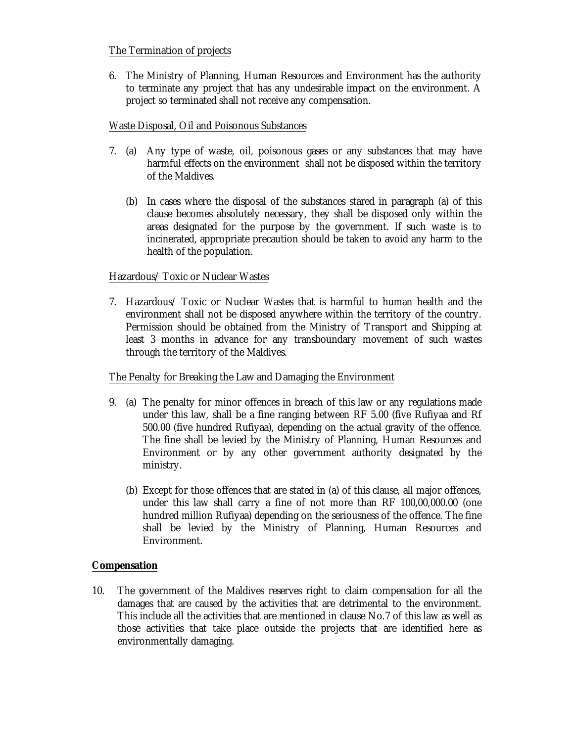# The Termination of projects

6. The Ministry of Planning, Human Resources and Environment has the authority to terminate any project that has any undesirable impact on the environment. A project so terminated shall not receive any compensation.

### Waste Disposal, Oil and Poisonous Substances

- 7. (a) Any type of waste, oil, poisonous gases or any substances that may have harmful effects on the environment shall not be disposed within the territory of the Maldives.
	- (b) In cases where the disposal of the substances stared in paragraph (a) of this clause becomes absolutely necessary, they shall be disposed only within the areas designated for the purpose by the government. If such waste is to incinerated, appropriate precaution should be taken to avoid any harm to the health of the population.

# Hazardous/ Toxic or Nuclear Wastes

7. Hazardous/ Toxic or Nuclear Wastes that is harmful to human health and the environment shall not be disposed anywhere within the territory of the country. Permission should be obtained from the Ministry of Transport and Shipping at least 3 months in advance for any transboundary movement of such wastes through the territory of the Maldives.

#### The Penalty for Breaking the Law and Damaging the Environment

- 9. (a) The penalty for minor offences in breach of this law or any regulations made under this law, shall be a fine ranging between RF 5.00 (five Rufiyaa and Rf 500.00 (five hundred Rufiyaa), depending on the actual gravity of the offence. The fine shall be levied by the Ministry of Planning, Human Resources and Environment or by any other government authority designated by the ministry.
	- (b) Except for those offences that are stated in (a) of this clause, all major offences, under this law shall carry a fine of not more than RF 100,00,000.00 (one hundred million Rufiyaa) depending on the seriousness of the offence. The fine shall be levied by the Ministry of Planning, Human Resources and Environment.

#### **Compensation**

10. The government of the Maldives reserves right to claim compensation for all the damages that are caused by the activities that are detrimental to the environment. This include all the activities that are mentioned in clause No.7 of this law as well as those activities that take place outside the projects that are identified here as environmentally damaging.